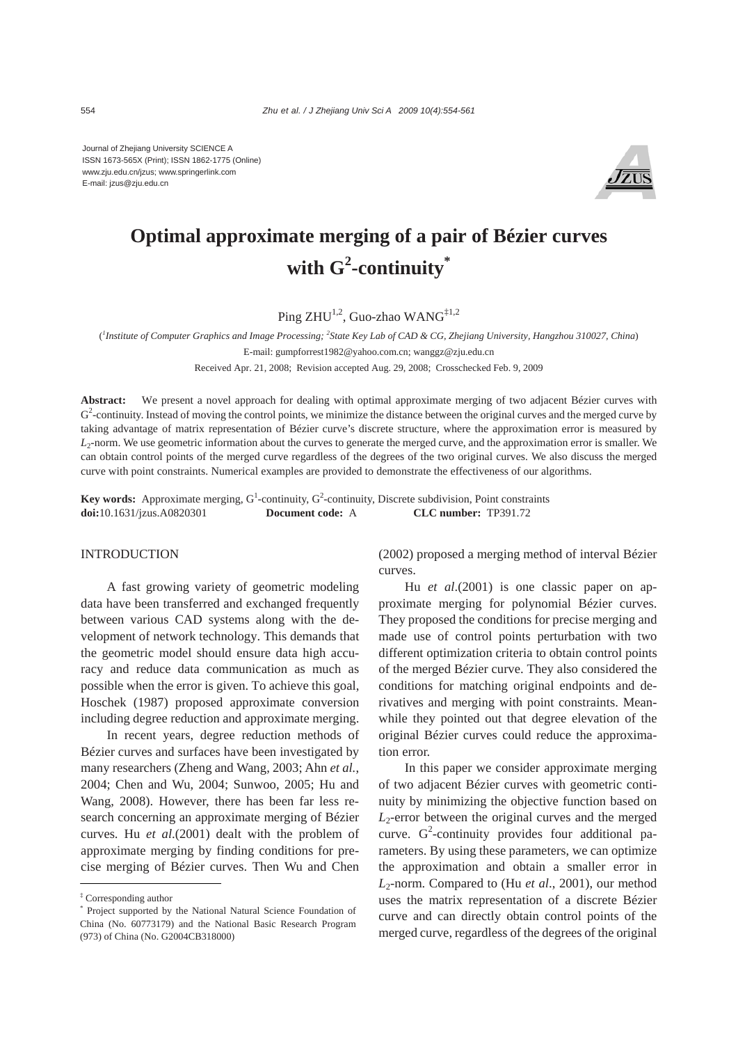Journal of Zhejiang University SCIENCE A ISSN 1673-565X (Print); ISSN 1862-1775 (Online) www.zju.edu.cn/jzus; www.springerlink.com E-mail: jzus@zju.edu.cn



# **Optimal approximate merging of a pair of Bézier curves with G<sup>2</sup> -continuity\***

Ping  $ZHU^{1,2}$ , Guo-zhao WANG<sup>‡1,2</sup>

( *1 Institute of Computer Graphics and Image Processing; <sup>2</sup> State Key Lab of CAD & CG, Zhejiang University, Hangzhou 310027, China*) E-mail: gumpforrest1982@yahoo.com.cn; wanggz@zju.edu.cn

Received Apr. 21, 2008; Revision accepted Aug. 29, 2008; Crosschecked Feb. 9, 2009

**Abstract:** We present a novel approach for dealing with optimal approximate merging of two adjacent Bézier curves with  $G<sup>2</sup>$ -continuity. Instead of moving the control points, we minimize the distance between the original curves and the merged curve by taking advantage of matrix representation of Bézier curve's discrete structure, where the approximation error is measured by *L*2-norm. We use geometric information about the curves to generate the merged curve, and the approximation error is smaller. We can obtain control points of the merged curve regardless of the degrees of the two original curves. We also discuss the merged curve with point constraints. Numerical examples are provided to demonstrate the effectiveness of our algorithms.

**Key words:** Approximate merging,  $G^1$ -continuity,  $G^2$ -continuity, Discrete subdivision, Point constraints **doi:**10.1631/jzus.A0820301 **Document code:** A **CLC number:** TP391.72

#### **INTRODUCTION**

A fast growing variety of geometric modeling data have been transferred and exchanged frequently between various CAD systems along with the development of network technology. This demands that the geometric model should ensure data high accuracy and reduce data communication as much as possible when the error is given. To achieve this goal, Hoschek (1987) proposed approximate conversion including degree reduction and approximate merging.

In recent years, degree reduction methods of Bézier curves and surfaces have been investigated by many researchers (Zheng and Wang, 2003; Ahn *et al.*, 2004; Chen and Wu, 2004; Sunwoo, 2005; Hu and Wang, 2008). However, there has been far less research concerning an approximate merging of Bézier curves. Hu *et al*.(2001) dealt with the problem of approximate merging by finding conditions for precise merging of Bézier curves. Then Wu and Chen

(2002) proposed a merging method of interval Bézier curves.

Hu *et al*.(2001) is one classic paper on approximate merging for polynomial Bézier curves. They proposed the conditions for precise merging and made use of control points perturbation with two different optimization criteria to obtain control points of the merged Bézier curve. They also considered the conditions for matching original endpoints and derivatives and merging with point constraints. Meanwhile they pointed out that degree elevation of the original Bézier curves could reduce the approximation error.

In this paper we consider approximate merging of two adjacent Bézier curves with geometric continuity by minimizing the objective function based on  $L_2$ -error between the original curves and the merged curve.  $G^2$ -continuity provides four additional parameters. By using these parameters, we can optimize the approximation and obtain a smaller error in *L*2-norm. Compared to (Hu *et al*., 2001), our method uses the matrix representation of a discrete Bézier curve and can directly obtain control points of the merged curve, regardless of the degrees of the original

<sup>‡</sup> Corresponding author

<sup>\*</sup> Project supported by the National Natural Science Foundation of China (No. 60773179) and the National Basic Research Program (973) of China (No. G2004CB318000)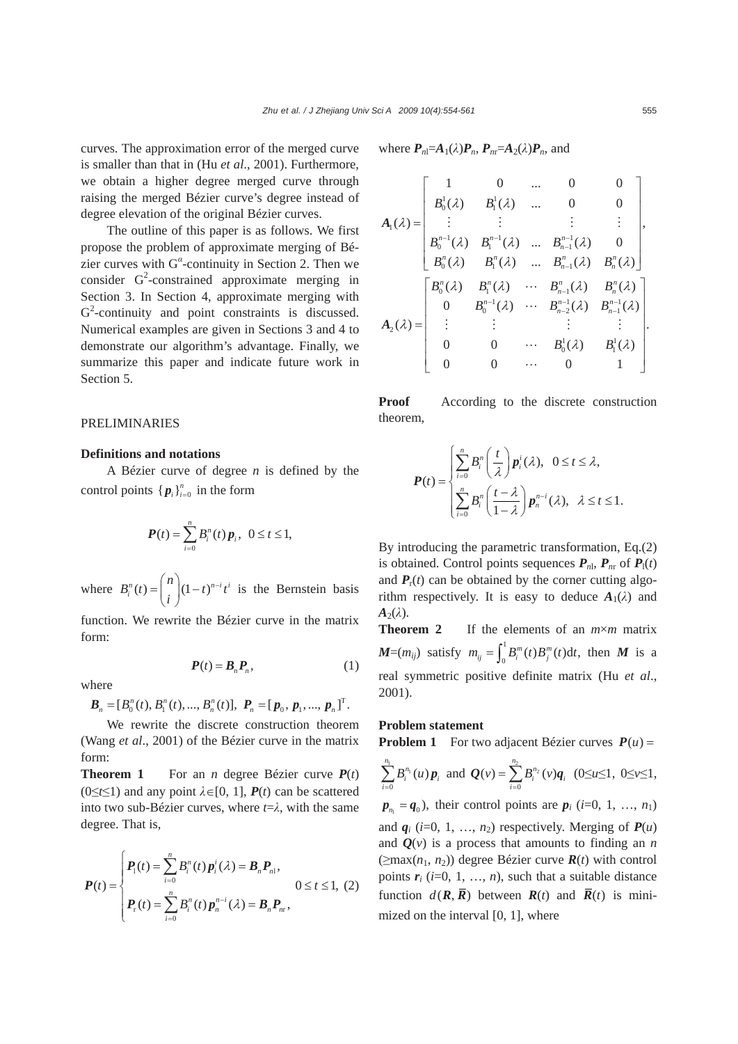curves. The approximation error of the merged curve is smaller than that in (Hu *et al*., 2001). Furthermore, we obtain a higher degree merged curve through raising the merged Bézier curve's degree instead of degree elevation of the original Bézier curves.

The outline of this paper is as follows. We first propose the problem of approximate merging of Bézier curves with G*<sup>α</sup>* -continuity in Section 2. Then we consider  $G^2$ -constrained approximate merging in Section 3. In Section 4, approximate merging with  $G<sup>2</sup>$ -continuity and point constraints is discussed. Numerical examples are given in Sections 3 and 4 to demonstrate our algorithm's advantage. Finally, we summarize this paper and indicate future work in Section 5.

#### PRELIMINARIES

## **Definitions and notations**

A Bézier curve of degree *n* is defined by the control points  $\{p_i\}_{i=0}^n$  in the form

$$
\boldsymbol{P}(t) = \sum_{i=0}^{n} B_{i}^{n}(t) \, \boldsymbol{p}_{i}, \ \ 0 \leq t \leq 1,
$$

where  $B_i^n(t) = \left| \int_1^n (1-t)^{n-i} t^i \right|$  $B_i^n(t) = \binom{n}{t} (1-t)^{n-i} t$  $=\binom{n}{i}(1-t)^{n-i}t^i$  is the Bernstein basis

function. We rewrite the Bézier curve in the matrix form:

$$
P(t) = B_n P_n, \tag{1}
$$

where

 $\boldsymbol{B}_n = [B_0^n(t), B_1^n(t), ..., B_n^n(t)], \ \boldsymbol{P}_n = [p_0, p_1, ..., p_n]^T.$ 

We rewrite the discrete construction theorem (Wang *et al*., 2001) of the Bézier curve in the matrix form:

**Theorem 1** For an *n* degree Bézier curve  $P(t)$  $(0 \le t \le 1)$  and any point  $\lambda \in [0, 1]$ ,  $P(t)$  can be scattered into two sub-Bézier curves, where  $t = \lambda$ , with the same degree. That is,

$$
\boldsymbol{P}(t) = \begin{cases} \boldsymbol{P}_1(t) = \sum_{i=0}^n B_i^n(t) \, \boldsymbol{p}_i^i(\lambda) = \boldsymbol{B}_n \boldsymbol{P}_{n1}, & 0 \le t \le 1, \ (2) \\ \boldsymbol{P}_r(t) = \sum_{i=0}^n B_i^n(t) \, \boldsymbol{p}_n^{n-i}(\lambda) = \boldsymbol{B}_n \boldsymbol{P}_{n1}, \end{cases}
$$

where  $P_{n} = A_1(\lambda)P_n$ ,  $P_{n} = A_2(\lambda)P_n$ , and

$$
A_{1}(\lambda) = \begin{bmatrix} 1 & 0 & \dots & 0 & 0 \\ B_{0}^{1}(\lambda) & B_{1}^{1}(\lambda) & \dots & 0 & 0 \\ \vdots & \vdots & \vdots & \vdots & \vdots \\ B_{0}^{n-1}(\lambda) & B_{1}^{n-1}(\lambda) & \dots & B_{n-1}^{n-1}(\lambda) & 0 \\ B_{0}^{n}(\lambda) & B_{1}^{n}(\lambda) & \dots & B_{n-1}^{n}(\lambda) & B_{n}^{n}(\lambda) \end{bmatrix},
$$

$$
A_{2}(\lambda) = \begin{bmatrix} B_{0}^{n}(\lambda) & B_{1}^{n}(\lambda) & \cdots & B_{n-1}^{n}(\lambda) & B_{n}^{n}(\lambda) \\ 0 & B_{0}^{n-1}(\lambda) & \cdots & B_{n-2}^{n-1}(\lambda) & B_{n-1}^{n-1}(\lambda) \\ \vdots & \vdots & \vdots & \vdots & \vdots \\ 0 & 0 & \cdots & B_{0}^{1}(\lambda) & B_{1}^{1}(\lambda) \\ 0 & 0 & \cdots & 0 & 1 \end{bmatrix}.
$$

**Proof** According to the discrete construction theorem,

$$
\boldsymbol{P}(t) = \begin{cases} \sum_{i=0}^{n} B_i^n\left(\frac{t}{\lambda}\right) \boldsymbol{p}_i^i(\lambda), & 0 \leq t \leq \lambda, \\ \sum_{i=0}^{n} B_i^n\left(\frac{t-\lambda}{1-\lambda}\right) \boldsymbol{p}_n^{n-i}(\lambda), & \lambda \leq t \leq 1. \end{cases}
$$

By introducing the parametric transformation, Eq.(2) is obtained. Control points sequences  $P_{n}$ ,  $P_{nr}$  of  $P_1(t)$ and  $P_r(t)$  can be obtained by the corner cutting algorithm respectively. It is easy to deduce  $A_1(\lambda)$  and  $A_2(\lambda)$ .

**Theorem 2** If the elements of an *m*×*m* matrix  $M=(m_{ij})$  satisfy  $m_{ij} = \int_0^1 B_i^m(t)B_j^m(t)dt$ , then M is a real symmetric positive definite matrix (Hu *et al*., 2001).

## **Problem statement**

*i*

**Problem 1** For two adjacent Bézier curves  $P(u) =$ 

$$
\sum_{i=0}^{n_1} B_i^{n_1}(u) \, \mathbf{p}_i \text{ and } \mathbf{Q}(v) = \sum_{i=0}^{n_2} B_i^{n_2}(v) \mathbf{q}_i \text{ (0} \le u \le 1, \text{ 0} \le v \le 1,
$$

 $p_{n_i} = q_0$ ), their control points are  $p_i$  (*i*=0, 1, …, *n*<sub>1</sub>) and  $q_i$  (*i*=0, 1, ...,  $n_2$ ) respectively. Merging of  $P(u)$ and  $Q(v)$  is a process that amounts to finding an *n*  $(\geq max(n_1, n_2))$  degree Bézier curve  $\mathbf{R}(t)$  with control points  $r_i$  ( $i=0, 1, ..., n$ ), such that a suitable distance function  $d(R, \overline{R})$  between  $R(t)$  and  $\overline{R}(t)$  is minimized on the interval [0, 1], where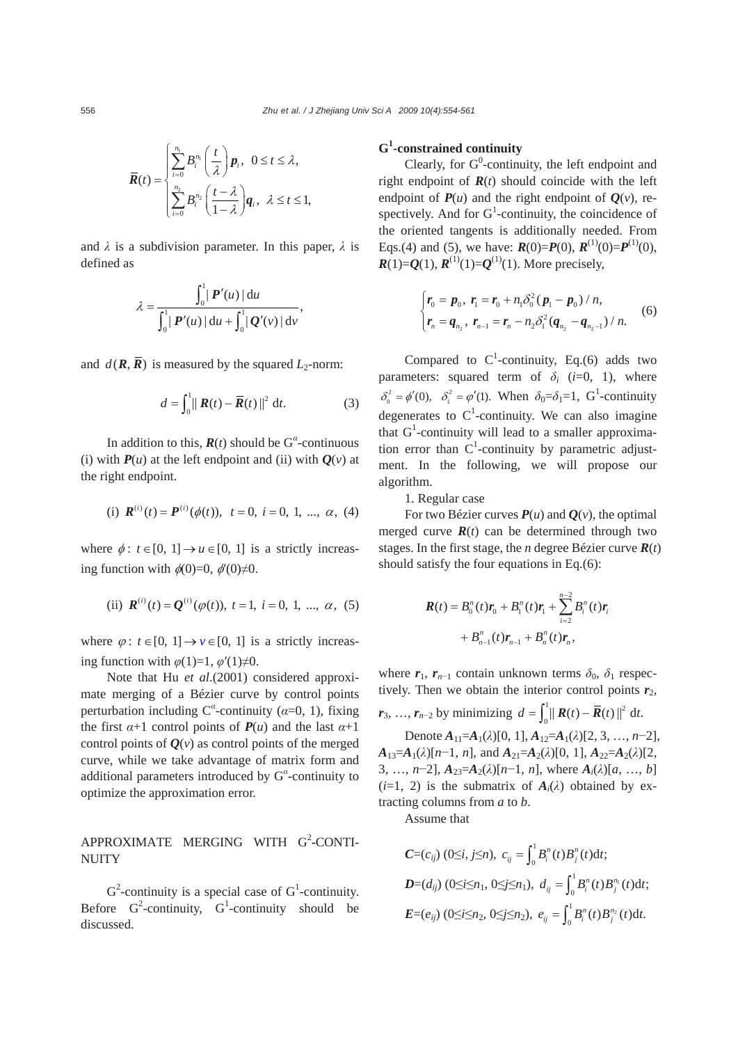$$
\overline{R}(t) = \begin{cases} \sum_{i=0}^{n_i} B_i^{n_i} \left( \frac{t}{\lambda} \right) p_i, & 0 \leq t \leq \lambda, \\ \sum_{i=0}^{n_2} B_i^{n_2} \left( \frac{t-\lambda}{1-\lambda} \right) q_i, & \lambda \leq t \leq 1, \end{cases}
$$

and *λ* is a subdivision parameter. In this paper, *λ* is defined as

$$
\lambda = \frac{\int_0^1 |P'(u)| du}{\int_0^1 |P'(u)| du + \int_0^1 |Q'(v)| dv},
$$

and  $d(\mathbf{R}, \overline{\mathbf{R}})$  is measured by the squared *L*<sub>2</sub>-norm:

$$
d = \int_0^1 ||\mathbf{R}(t) - \overline{\mathbf{R}}(t)||^2 dt.
$$
 (3)

In addition to this,  $\mathbf{R}(t)$  should be  $G^{\alpha}$ -continuous (i) with  $P(u)$  at the left endpoint and (ii) with  $Q(v)$  at the right endpoint.

(i) 
$$
\mathbf{R}^{(i)}(t) = \mathbf{P}^{(i)}(\phi(t)), t = 0, i = 0, 1, ..., \alpha, (4)
$$

where  $\phi: t \in [0, 1] \rightarrow u \in [0, 1]$  is a strictly increasing function with  $\phi(0)=0$ ,  $\phi'(0)\neq0$ .

(ii) 
$$
\mathbf{R}^{(i)}(t) = \mathbf{Q}^{(i)}(\varphi(t)), t = 1, i = 0, 1, ..., \alpha, (5)
$$

where  $\varphi$ :  $t \in [0, 1] \rightarrow v \in [0, 1]$  is a strictly increasing function with  $\varphi(1)=1$ ,  $\varphi'(1)\neq 0$ .

Note that Hu *et al*.(2001) considered approximate merging of a Bézier curve by control points perturbation including  $C^{\alpha}$ -continuity ( $\alpha$ =0, 1), fixing the first  $\alpha+1$  control points of  $P(u)$  and the last  $\alpha+1$ control points of  $Q(v)$  as control points of the merged curve, while we take advantage of matrix form and additional parameters introduced by G*<sup>α</sup>* -continuity to optimize the approximation error.

# APPROXIMATE MERGING WITH G<sup>2</sup>-CONTI-**NUITY**

 $G^2$ -continuity is a special case of  $G^1$ -continuity. Before  $G^2$ -continuity,  $G^1$ -continuity should be discussed.

# **G1 -constrained continuity**

Clearly, for  $G^0$ -continuity, the left endpoint and right endpoint of  $\mathbf{R}(t)$  should coincide with the left endpoint of  $P(u)$  and the right endpoint of  $Q(v)$ , respectively. And for  $G^1$ -continuity, the coincidence of the oriented tangents is additionally needed. From Eqs.(4) and (5), we have:  $R(0)=P(0), R^{(1)}(0)=P^{(1)}(0),$  $R(1)=Q(1), R^{(1)}(1)=Q^{(1)}(1)$ . More precisely,

$$
\begin{cases}\nr_0 = p_0, r_1 = r_0 + n_1 \delta_0^2 (p_1 - p_0) / n, \\
r_n = q_{n_2}, r_{n-1} = r_n - n_2 \delta_1^2 (q_{n_2} - q_{n_2 - 1}) / n.\n\end{cases} \tag{6}
$$

Compared to  $C^1$ -continuity, Eq.(6) adds two parameters: squared term of  $\delta_i$  (*i*=0, 1), where  $\delta_0^2 = \phi'(0)$ ,  $\delta_1^2 = \phi'(1)$ . When  $\delta_0 = \delta_1 = 1$ , G<sup>1</sup>-continuity degenerates to  $C<sup>1</sup>$ -continuity. We can also imagine that  $G<sup>1</sup>$ -continuity will lead to a smaller approximation error than  $C^1$ -continuity by parametric adjustment. In the following, we will propose our algorithm.

1. Regular case

For two Bézier curves  $P(u)$  and  $Q(v)$ , the optimal merged curve  $\mathbf{R}(t)$  can be determined through two stages. In the first stage, the *n* degree Bézier curve  $R(t)$ should satisfy the four equations in Eq.(6):

$$
\mathbf{R}(t) = B_0^n(t)\mathbf{r}_0 + B_1^n(t)\mathbf{r}_1 + \sum_{i=2}^{n-2} B_i^n(t)\mathbf{r}_i
$$
  
+  $B_{n-1}^n(t)\mathbf{r}_{n-1} + B_n^n(t)\mathbf{r}_n$ ,

where  $r_1$ ,  $r_{n-1}$  contain unknown terms  $\delta_0$ ,  $\delta_1$  respectively. Then we obtain the interior control points  $r_2$ ,

*r*<sub>3</sub>, …, *r*<sub>*n*−2</sub> by minimizing  $d = \int_0^1 ||R(t) - \overline{R}(t)||^2 dt$ .

Denote  $A_{11}=A_1(\lambda)[0, 1], A_{12}=A_1(\lambda)[2, 3, ..., n-2],$  $A_{13}=A_1(\lambda)[n-1, n]$ , and  $A_{21}=A_2(\lambda)[0, 1]$ ,  $A_{22}=A_2(\lambda)[2,$ 3, …, *n*−2],  $A_{23} = A_2(\lambda)[n-1, n]$ , where  $A_i(\lambda)[a, ..., b]$  $(i=1, 2)$  is the submatrix of  $A_i(\lambda)$  obtained by extracting columns from *a* to *b*.

Assume that

$$
C=(c_{ij})\ (0\leq i,j\leq n),\ c_{ij}=\int_0^1 B_i^n(t)B_j^n(t)dt;
$$
  
\n
$$
D=(d_{ij})\ (0\leq i\leq n_1,\ 0\leq j\leq n_1),\ d_{ij}=\int_0^1 B_i^n(t)B_j^{n_i}(t)dt;
$$
  
\n
$$
E=(e_{ij})\ (0\leq i\leq n_2,\ 0\leq j\leq n_2),\ e_{ij}=\int_0^1 B_i^n(t)B_j^{n_i}(t)dt.
$$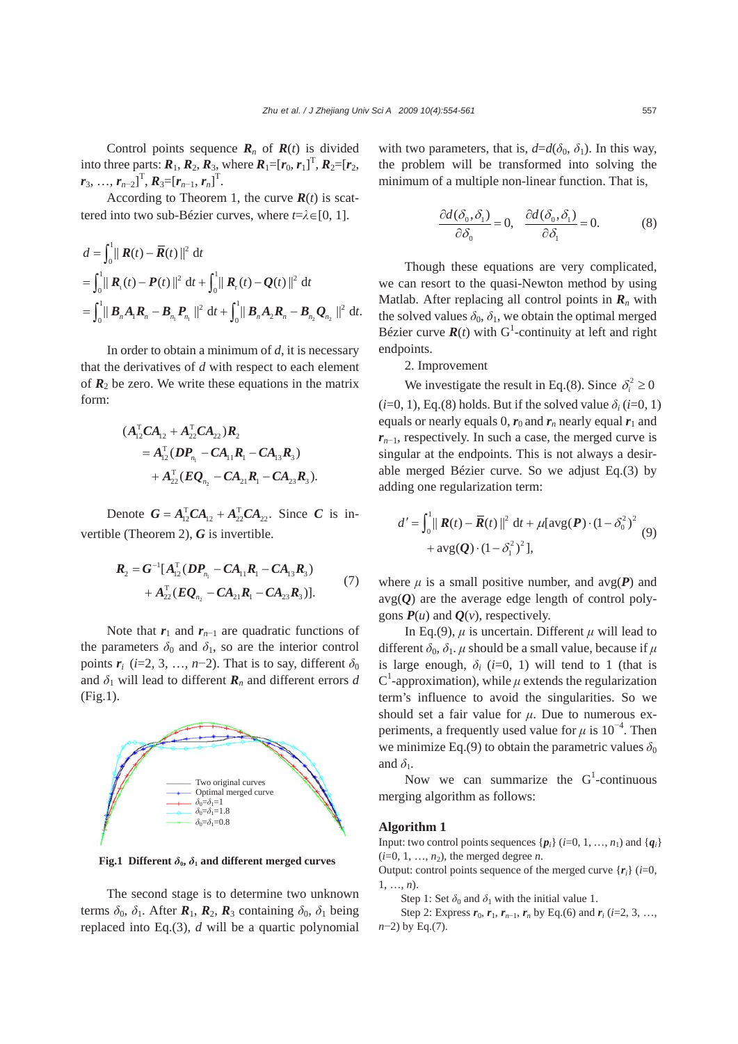Control points sequence  $\mathbf{R}_n$  of  $\mathbf{R}(t)$  is divided into three parts:  $R_1, R_2, R_3$ , where  $R_1 = [r_0, r_1]^T, R_2 = [r_2,$  $r_3, ..., r_{n-2}$ ]<sup>T</sup>,  $R_3 = [r_{n-1}, r_n]$ <sup>T</sup>.

According to Theorem 1, the curve  $\mathbf{R}(t)$  is scattered into two sub-Bézier curves, where *t*=*λ*∈[0, 1].

$$
d = \int_0^1 || \mathbf{R}(t) - \overline{\mathbf{R}}(t) ||^2 dt
$$
  
=  $\int_0^1 || \mathbf{R}_{\perp}(t) - \mathbf{P}(t) ||^2 dt + \int_0^1 || \mathbf{R}_{\perp}(t) - \mathbf{Q}(t) ||^2 dt$   
=  $\int_0^1 || \mathbf{B}_n \mathbf{A}_1 \mathbf{R}_n - \mathbf{B}_{n_1} \mathbf{P}_{n_1} ||^2 dt + \int_0^1 || \mathbf{B}_n \mathbf{A}_2 \mathbf{R}_n - \mathbf{B}_{n_2} \mathbf{Q}_{n_2} ||^2 dt$ .

In order to obtain a minimum of *d*, it is necessary that the derivatives of *d* with respect to each element of  $\mathbf{R}_2$  be zero. We write these equations in the matrix form:

$$
(A_{12}^{T}CA_{12} + A_{22}^{T}CA_{22})R_{2}
$$
  
=  $A_{12}^{T}(DP_{n_{1}} - CA_{11}R_{1} - CA_{13}R_{3})$   
+  $A_{22}^{T}(EQ_{n_{2}} - CA_{21}R_{1} - CA_{23}R_{3}).$ 

Denote  $G = A_{12}^{T} C A_{12} + A_{22}^{T} C A_{22}$ . Since *C* is invertible (Theorem 2), *G* is invertible.

$$
R_2 = G^{-1}[A_{12}^T(DP_{n_1} - CA_{11}R_1 - CA_{13}R_3) + A_{22}^T(EQ_{n_2} - CA_{21}R_1 - CA_{23}R_3)].
$$
\n(7)

Note that  $r_1$  and  $r_{n-1}$  are quadratic functions of the parameters  $\delta_0$  and  $\delta_1$ , so are the interior control points  $r_i$  (*i*=2, 3, …, *n*−2). That is to say, different  $\delta_0$ and  $\delta_1$  will lead to different  $\mathbf{R}_n$  and different errors *d* (Fig.1).



**Fig.1** Different  $\delta_0$ ,  $\delta_1$  and different merged curves

The second stage is to determine two unknown terms  $\delta_0$ ,  $\delta_1$ . After  $\mathbf{R}_1$ ,  $\mathbf{R}_2$ ,  $\mathbf{R}_3$  containing  $\delta_0$ ,  $\delta_1$  being replaced into Eq.(3), *d* will be a quartic polynomial with two parameters, that is,  $d=d(\delta_0, \delta_1)$ . In this way, the problem will be transformed into solving the minimum of a multiple non-linear function. That is,

$$
\frac{\partial d(\delta_0, \delta_1)}{\partial \delta_0} = 0, \quad \frac{\partial d(\delta_0, \delta_1)}{\partial \delta_1} = 0.
$$
 (8)

Though these equations are very complicated, we can resort to the quasi-Newton method by using Matlab. After replacing all control points in  $\mathbf{R}_n$  with the solved values  $\delta_0$ ,  $\delta_1$ , we obtain the optimal merged Bézier curve  $\mathbf{R}(t)$  with G<sup>1</sup>-continuity at left and right endpoints.

2. Improvement

We investigate the result in Eq.(8). Since  $\delta_i^2 \ge 0$  $(i=0, 1)$ , Eq.(8) holds. But if the solved value  $\delta_i$  ( $i=0, 1$ ) equals or nearly equals 0,  $r_0$  and  $r_n$  nearly equal  $r_1$  and *r*<sub>*n*−1</sub>, respectively. In such a case, the merged curve is singular at the endpoints. This is not always a desirable merged Bézier curve. So we adjust Eq.(3) by adding one regularization term:

$$
d' = \int_0^1 ||\mathbf{R}(t) - \overline{\mathbf{R}}(t)||^2 dt + \mu[\text{avg}(\mathbf{P}) \cdot (1 - \delta_0^2)^2 + \text{avg}(\mathbf{Q}) \cdot (1 - \delta_1^2)^2],
$$
 (9)

where  $\mu$  is a small positive number, and  $avg(P)$  and  $avg(Q)$  are the average edge length of control polygons  $P(u)$  and  $Q(v)$ , respectively.

In Eq.(9),  $\mu$  is uncertain. Different  $\mu$  will lead to different  $\delta_0$ ,  $\delta_1$ . *μ* should be a small value, because if *μ* is large enough,  $\delta_i$  (*i*=0, 1) will tend to 1 (that is C<sup>1</sup>-approximation), while  $\mu$  extends the regularization term's influence to avoid the singularities. So we should set a fair value for *μ*. Due to numerous experiments, a frequently used value for  $\mu$  is 10<sup>-4</sup>. Then we minimize Eq.(9) to obtain the parametric values  $\delta_0$ and  $\delta_1$ .

Now we can summarize the  $G^1$ -continuous merging algorithm as follows:

#### **Algorithm 1**

Input: two control points sequences  $\{p_i\}$  (*i*=0, 1, …, *n*<sub>1</sub>) and  $\{q_i\}$  $(i=0, 1, \ldots, n_2)$ , the merged degree *n*.

Output: control points sequence of the merged curve  ${r_i}$  (*i*=0, 1, …, *n*).

Step 1: Set  $\delta_0$  and  $\delta_1$  with the initial value 1.

Step 2: Express  $r_0$ ,  $r_1$ ,  $r_{n-1}$ ,  $r_n$  by Eq.(6) and  $r_i$  (*i*=2, 3, …, *n*−2) by Eq.(7).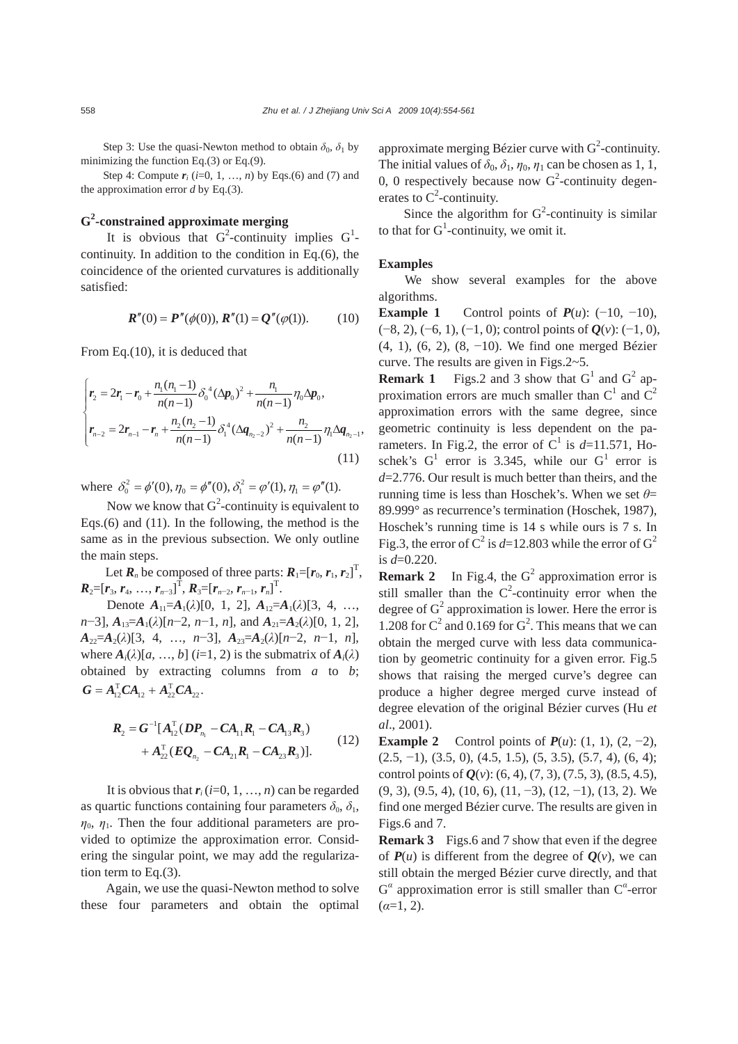Step 3: Use the quasi-Newton method to obtain  $\delta_0$ ,  $\delta_1$  by minimizing the function Eq.(3) or Eq.(9).

Step 4: Compute  $r_i$  ( $i=0, 1, ..., n$ ) by Eqs.(6) and (7) and the approximation error *d* by Eq.(3).

# **G2 -constrained approximate merging**

It is obvious that  $G^2$ -continuity implies  $G^1$ continuity. In addition to the condition in Eq.(6), the coincidence of the oriented curvatures is additionally satisfied:

$$
\mathbf{R}''(0) = \mathbf{P}''(\phi(0)), \mathbf{R}''(1) = \mathbf{Q}''(\phi(1)).
$$
 (10)

From Eq.(10), it is deduced that

$$
\begin{cases}\n\mathbf{r}_{2} = 2\mathbf{r}_{1} - \mathbf{r}_{0} + \frac{n_{1}(n_{1} - 1)}{n(n - 1)} \delta_{0}^{4} (\Delta \mathbf{p}_{0})^{2} + \frac{n_{1}}{n(n - 1)} \eta_{0} \Delta \mathbf{p}_{0}, \\
\mathbf{r}_{n-2} = 2\mathbf{r}_{n-1} - \mathbf{r}_{n} + \frac{n_{2}(n_{2} - 1)}{n(n - 1)} \delta_{1}^{4} (\Delta \mathbf{q}_{n_{2} - 2})^{2} + \frac{n_{2}}{n(n - 1)} \eta_{1} \Delta \mathbf{q}_{n_{2} - 1},\n\end{cases}
$$
\n(11)

where  $\delta_0^2 = \phi'(0), \eta_0 = \phi''(0), \delta_1^2 = \phi'(1), \eta_1 = \phi''(1)$ .

Now we know that  $G^2$ -continuity is equivalent to Eqs.(6) and (11). In the following, the method is the same as in the previous subsection. We only outline the main steps.

Let  $\boldsymbol{R}_n$  be composed of three parts:  $\boldsymbol{R}_1 = [\boldsymbol{r}_0, \boldsymbol{r}_1, \boldsymbol{r}_2]^{\mathrm{T}}$ ,  $R_2=[r_3, r_4, ..., r_{n-3}]^T$ ,  $R_3=[r_{n-2}, r_{n-1}, r_n]^T$ .

Denote  $A_{11} = A_1(\lambda)[0, 1, 2], A_{12} = A_1(\lambda)[3, 4, ...,$  $n-3$ ],  $A_{13}=A_1(\lambda)[n-2, n-1, n]$ , and  $A_{21}=A_2(\lambda)[0, 1, 2]$ , *A*22=*A*2(*λ*)[3, 4, …, *n*−3], *A*23=*A*2(*λ*)[*n*−2, *n*−1, *n*], where  $A_i(\lambda)[a, ..., b]$  (*i*=1, 2) is the submatrix of  $A_i(\lambda)$ obtained by extracting columns from *a* to *b*;  $G = A_{12}^{\mathrm{T}} C A_{12} + A_{22}^{\mathrm{T}} C A_{22}$ 

$$
R_2 = G^{-1}[A_{12}^{\mathrm{T}}(DP_{n_1} - CA_{11}R_1 - CA_{13}R_3) + A_{22}^{\mathrm{T}}(EQ_{n_2} - CA_{21}R_1 - CA_{23}R_3)].
$$
\n(12)

It is obvious that  $r_i$  (*i*=0, 1, ..., *n*) can be regarded as quartic functions containing four parameters  $\delta_0$ ,  $\delta_1$ ,  $\eta_0$ ,  $\eta_1$ . Then the four additional parameters are provided to optimize the approximation error. Considering the singular point, we may add the regularization term to Eq.(3).

Again, we use the quasi-Newton method to solve these four parameters and obtain the optimal

approximate merging Bézier curve with  $G^2$ -continuity. The initial values of  $\delta_0$ ,  $\delta_1$ ,  $\eta_0$ ,  $\eta_1$  can be chosen as 1, 1, 0, 0 respectively because now  $G^2$ -continuity degenerates to  $C^2$ -continuity.

Since the algorithm for  $G^2$ -continuity is similar to that for  $G^1$ -continuity, we omit it.

#### **Examples**

We show several examples for the above algorithms.

**Example 1** Control points of  $P(u)$ : (−10, −10), (−8, 2), (−6, 1), (−1, 0); control points of *Q*(*v*): (−1, 0), (4, 1), (6, 2), (8, −10). We find one merged Bézier curve. The results are given in Figs.2~5.

**Remark 1** Figs.2 and 3 show that  $G<sup>1</sup>$  and  $G<sup>2</sup>$  approximation errors are much smaller than  $C^1$  and  $C^2$ approximation errors with the same degree, since geometric continuity is less dependent on the parameters. In Fig.2, the error of  $C^1$  is  $d=11.571$ , Hoschek's  $G^1$  error is 3.345, while our  $G^1$  error is *d*=2.776. Our result is much better than theirs, and the running time is less than Hoschek's. When we set *θ*= 89.999° as recurrence's termination (Hoschek, 1987), Hoschek's running time is 14 s while ours is 7 s. In Fig.3, the error of  $C^2$  is  $d=12.803$  while the error of  $G^2$ is *d*=0.220.

**Remark 2** In Fig.4, the  $G^2$  approximation error is still smaller than the  $C^2$ -continuity error when the degree of  $G^2$  approximation is lower. Here the error is 1.208 for  $C^2$  and 0.169 for  $G^2$ . This means that we can obtain the merged curve with less data communication by geometric continuity for a given error. Fig.5 shows that raising the merged curve's degree can produce a higher degree merged curve instead of degree elevation of the original Bézier curves (Hu *et al*., 2001).

**Example 2** Control points of  $P(u)$ : (1, 1), (2, -2),  $(2.5, -1)$ ,  $(3.5, 0)$ ,  $(4.5, 1.5)$ ,  $(5, 3.5)$ ,  $(5.7, 4)$ ,  $(6, 4)$ ; control points of *Q*(*v*): (6, 4), (7, 3), (7.5, 3), (8.5, 4.5), (9, 3), (9.5, 4), (10, 6), (11, −3), (12, −1), (13, 2). We find one merged Bézier curve. The results are given in Figs.6 and 7.

**Remark 3** Figs.6 and 7 show that even if the degree of  $P(u)$  is different from the degree of  $Q(v)$ , we can still obtain the merged Bézier curve directly, and that G*α* approximation error is still smaller than C*<sup>α</sup>* -error  $(\alpha=1, 2)$ .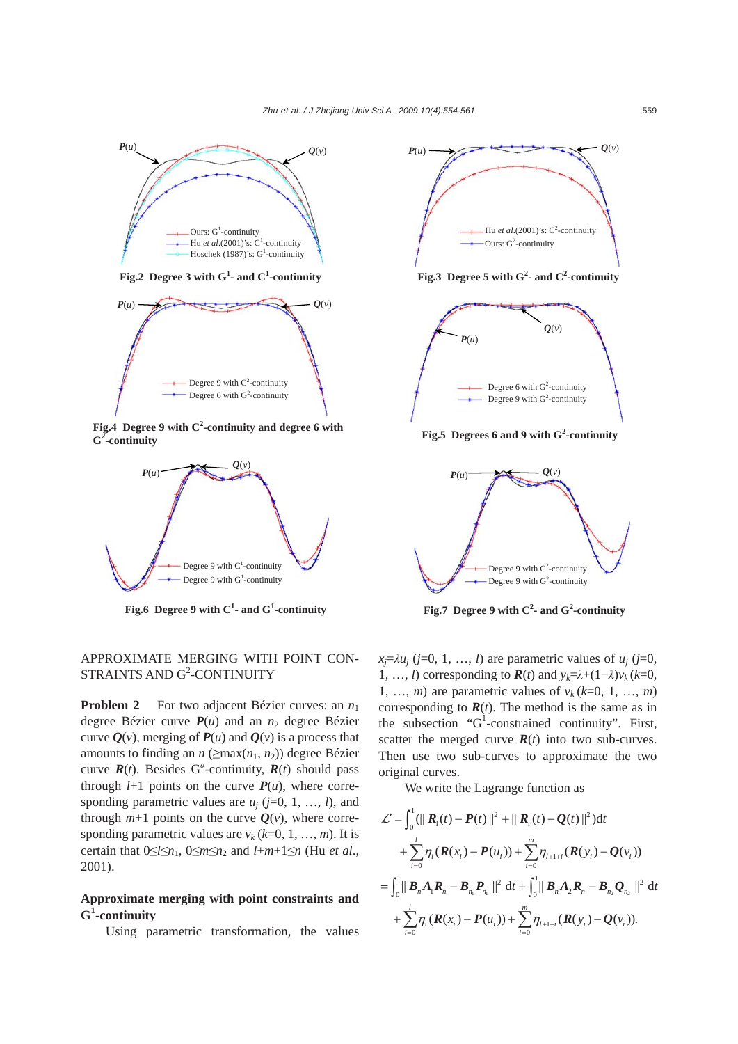

Fig.4 Degree 9 with C<sup>2</sup>-continuity and degree 6 with **G2 -continuity**



**Fig.6 Degree 9 with C1 - and G<sup>1</sup> -continuity**

# APPROXIMATE MERGING WITH POINT CON-STRAINTS AND G<sup>2</sup>-CONTINUITY

**Problem 2** For two adjacent Bézier curves: an  $n_1$ degree Bézier curve  $P(u)$  and an  $n_2$  degree Bézier curve  $Q(v)$ , merging of  $P(u)$  and  $Q(v)$  is a process that amounts to finding an  $n$  ( $\geq$ max( $n_1$ ,  $n_2$ )) degree Bézier curve  $\mathbf{R}(t)$ . Besides G<sup>*α*</sup>-continuity,  $\mathbf{R}(t)$  should pass through  $l+1$  points on the curve  $P(u)$ , where corresponding parametric values are  $u_i$  ( $j=0, 1, ..., l$ ), and through  $m+1$  points on the curve  $Q(v)$ , where corresponding parametric values are  $v_k$  ( $k=0, 1, ..., m$ ). It is certain that  $0 \leq l \leq n_1$ ,  $0 \leq m \leq n_2$  and  $l+m+1 \leq n$  (Hu *et al.*, 2001).

## **Approximate merging with point constraints and G1 -continuity**

Using parametric transformation, the values



**Fig.3** Degree 5 with  $G^2$ - and  $C^2$ -continuity



Fig.5 Degrees 6 and 9 with G<sup>2</sup>-continuity



**Fig.7** Degree 9 with  $C^2$ - and  $G^2$ -continuity

 $x_i = \lambda u_i$  (*j*=0, 1, …, *l*) are parametric values of  $u_i$  (*j*=0, 1, …, *l*) corresponding to  $\mathbf{R}(t)$  and  $y_k = \lambda + (1 - \lambda)y_k$  ( $k=0$ , 1, ..., *m*) are parametric values of  $v_k$  (*k*=0, 1, ..., *m*) corresponding to  $R(t)$ . The method is the same as in the subsection " $G^1$ -constrained continuity". First, scatter the merged curve  $\mathbf{R}(t)$  into two sub-curves. Then use two sub-curves to approximate the two original curves.

We write the Lagrange function as

$$
\mathcal{L} = \int_0^1 (||R_1(t) - P(t)||^2 + ||R_r(t) - Q(t)||^2) dt \n+ \sum_{i=0}^l \eta_i (R(x_i) - P(u_i)) + \sum_{i=0}^m \eta_{i+1+i} (R(y_i) - Q(v_i)) \n= \int_0^1 ||B_n A_1 R_n - B_{n_1} P_{n_1}||^2 dt + \int_0^1 ||B_n A_2 R_n - B_{n_2} Q_{n_2}||^2 dt \n+ \sum_{i=0}^l \eta_i (R(x_i) - P(u_i)) + \sum_{i=0}^m \eta_{i+1+i} (R(y_i) - Q(v_i)).
$$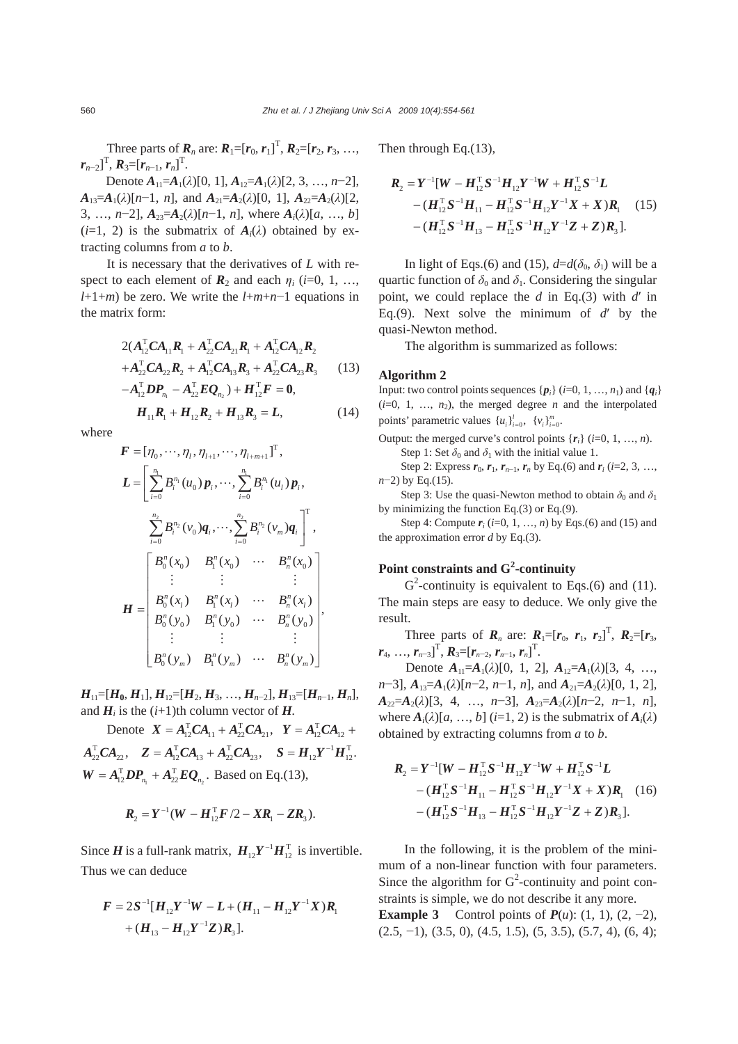Three parts of  $R_n$  are:  $R_1 = [r_0, r_1]^T$ ,  $R_2 = [r_2, r_3, ...,$  $r_{n-2}$ ]<sup>T</sup>,  $R_3 = [r_{n-1}, r_n]$ <sup>T</sup>.

Denote  $A_{11} = A_1(\lambda)[0, 1], A_{12} = A_1(\lambda)[2, 3, ..., n-2],$  $A_{13}=A_1(\lambda)[n-1, n]$ , and  $A_{21}=A_2(\lambda)[0, 1]$ ,  $A_{22}=A_2(\lambda)[2,$ 3, …, *n*−2],  $A_{23} = A_2(\lambda)[n-1, n]$ , where  $A_i(\lambda)[a, ..., b]$  $(i=1, 2)$  is the submatrix of  $A_i(\lambda)$  obtained by extracting columns from *a* to *b*.

It is necessary that the derivatives of *L* with respect to each element of  $\mathbf{R}_2$  and each  $\eta_i$  (*i*=0, 1, …, *l*+1+*m*) be zero. We write the *l*+*m*+*n*−1 equations in the matrix form:

$$
2(A_{12}^{T}CA_{11}R_{1} + A_{22}^{T}CA_{21}R_{1} + A_{12}^{T}CA_{12}R_{2} + A_{22}^{T}CA_{22}R_{2} + A_{12}^{T}CA_{13}R_{3} + A_{22}^{T}CA_{23}R_{3}
$$
(13)  

$$
-A_{12}^{T}DP_{n_{1}} - A_{22}^{T}EQ_{n_{2}}) + H_{12}^{T}F = 0,
$$

 $H_{11}R_1 + H_{12}R_2 + H_{13}R_3 = L,$  (14)

where

$$
F = [\eta_0, \dots, \eta_l, \eta_{l+1}, \dots, \eta_{l+m+1}]^{\mathrm{T}},
$$
  
\n
$$
L = \left[ \sum_{i=0}^{n_1} B_i^{n_1} (u_0) p_i, \dots, \sum_{i=0}^{n_1} B_i^{n_i} (u_l) p_i,
$$
  
\n
$$
\sum_{i=0}^{n_2} B_i^{n_2} (v_0) q_i, \dots, \sum_{i=0}^{n_2} B_i^{n_2} (v_m) q_i \right]^{\mathrm{T}},
$$
  
\n
$$
\left[ \begin{array}{cccc} B_0^n (x_0) & B_1^n (x_0) & \dots & B_n^n (x_0) \\ \vdots & \vdots & & \vdots \\ B_0^n (x_l) & B_1^n (x_l) & \dots & B_n^n (x_l) \\ B_0^n (y_0) & B_1^n (y_0) & \dots & B_n^n (y_0) \\ \vdots & \vdots & & \vdots \\ B_0^n (y_m) & B_1^n (y_m) & \dots & B_n^n (y_m) \end{array} \right],
$$

 $H_{11}=[H_0,H_1], H_{12}=[H_2,H_3, \ldots, H_{n-2}], H_{13}=[H_{n-1},H_n],$ and  $H_i$  is the  $(i+1)$ th column vector of  $H$ .

Denote  $X = A_{12}^T C A_{11} + A_{22}^T C A_{21}$ ,  $Y = A_{12}^T C A_{12} +$  $A_{22}^{\text{T}}CA_{22}$ ,  $Z = A_{12}^{\text{T}}CA_{13} + A_{22}^{\text{T}}CA_{23}$ ,  $S = H_{12}Y^{-1}H_{12}^{\text{T}}$ .  $n_1$  22  $n_2$  $W = A_{12}^T D P_{n_1} + A_{22}^T E Q_{n_2}$ . Based on Eq.(13),

$$
R_2 = Y^{-1}(W - H_{12}^T F/2 - X R_1 - Z R_3).
$$

Since *H* is a full-rank matrix,  $H_{12}Y^{-1}H_{12}^T$  is invertible. Thus we can deduce

$$
F = 2S^{-1}[H_{12}Y^{-1}W - L + (H_{11} - H_{12}Y^{-1}X)R_1 + (H_{13} - H_{12}Y^{-1}Z)R_3].
$$

Then through Eq.(13),

$$
R_2 = Y^{-1}[W - H_{12}^{\mathrm{T}}S^{-1}H_{12}Y^{-1}W + H_{12}^{\mathrm{T}}S^{-1}L - (H_{12}^{\mathrm{T}}S^{-1}H_{11} - H_{12}^{\mathrm{T}}S^{-1}H_{12}Y^{-1}X + X)R_1 \quad (15) \\ - (H_{12}^{\mathrm{T}}S^{-1}H_{13} - H_{12}^{\mathrm{T}}S^{-1}H_{12}Y^{-1}Z + Z)R_3].
$$

In light of Eqs.(6) and (15),  $d=d(\delta_0, \delta_1)$  will be a quartic function of  $\delta_0$  and  $\delta_1$ . Considering the singular point, we could replace the *d* in Eq.(3) with *d*′ in Eq.(9). Next solve the minimum of *d*′ by the quasi-Newton method.

The algorithm is summarized as follows:

### **Algorithm 2**

Input: two control points sequences  $\{p_i\}$  (*i*=0, 1, …, *n*<sub>1</sub>) and  $\{q_i\}$  $(i=0, 1, ..., n_2)$ , the merged degree *n* and the interpolated points' parametric values  ${u_i}_{i=0}^l$ ,  ${v_i}_{i=0}^m$ 

Output: the merged curve's control points  ${r_i}$  (*i*=0, 1, …, *n*). Step 1: Set  $\delta_0$  and  $\delta_1$  with the initial value 1.

Step 2: Express  $r_0$ ,  $r_1$ ,  $r_{n-1}$ ,  $r_n$  by Eq.(6) and  $r_i$  (*i*=2, 3, …, *n*−2) by Eq.(15).

Step 3: Use the quasi-Newton method to obtain  $\delta_0$  and  $\delta_1$ by minimizing the function Eq.(3) or Eq.(9).

Step 4: Compute  $r_i$  ( $i=0, 1, ..., n$ ) by Eqs.(6) and (15) and the approximation error *d* by Eq.(3).

# **Point constraints and G<sup>2</sup> -continuity**

 $G^2$ -continuity is equivalent to Eqs.(6) and (11). The main steps are easy to deduce. We only give the result.

Three parts of  $R_n$  are:  $R_1 = [r_0, r_1, r_2]^T$ ,  $R_2 = [r_3, r_2]^T$  $\bm{r}_4, \ldots, \bm{r}_{n-3}$ ]<sup>T</sup>,  $\bm{R}_3 = [\bm{r}_{n-2}, \bm{r}_{n-1}, \bm{r}_n]$ <sup>T</sup>.

Denote  $A_{11} = A_1(\lambda)[0, 1, 2], A_{12} = A_1(\lambda)[3, 4, ...,$  $n-3$ ],  $A_{13}=A_1(\lambda)[n-2, n-1, n]$ , and  $A_{21}=A_2(\lambda)[0, 1, 2]$ ,  $A_{22} = A_2(\lambda)[3, 4, \ldots, n-3], A_{23} = A_2(\lambda)[n-2, n-1, n],$ where  $A_i(\lambda)[a, \ldots, b]$  (*i*=1, 2) is the submatrix of  $A_i(\lambda)$ obtained by extracting columns from *a* to *b*.

$$
\mathbf{R}_{2} = \mathbf{Y}^{-1}[\mathbf{W} - \mathbf{H}_{12}^{T}\mathbf{S}^{-1}\mathbf{H}_{12}\mathbf{Y}^{-1}\mathbf{W} + \mathbf{H}_{12}^{T}\mathbf{S}^{-1}\mathbf{L} - (\mathbf{H}_{12}^{T}\mathbf{S}^{-1}\mathbf{H}_{11} - \mathbf{H}_{12}^{T}\mathbf{S}^{-1}\mathbf{H}_{12}\mathbf{Y}^{-1}\mathbf{X} + \mathbf{X})\mathbf{R}_{1}
$$
 (16)  
 
$$
-(\mathbf{H}_{12}^{T}\mathbf{S}^{-1}\mathbf{H}_{13} - \mathbf{H}_{12}^{T}\mathbf{S}^{-1}\mathbf{H}_{12}\mathbf{Y}^{-1}\mathbf{Z} + \mathbf{Z})\mathbf{R}_{3}].
$$

In the following, it is the problem of the minimum of a non-linear function with four parameters. Since the algorithm for  $G^2$ -continuity and point constraints is simple, we do not describe it any more.

**Example 3** Control points of  $P(u)$ : (1, 1), (2, -2),  $(2.5, -1)$ ,  $(3.5, 0)$ ,  $(4.5, 1.5)$ ,  $(5, 3.5)$ ,  $(5.7, 4)$ ,  $(6, 4)$ ;